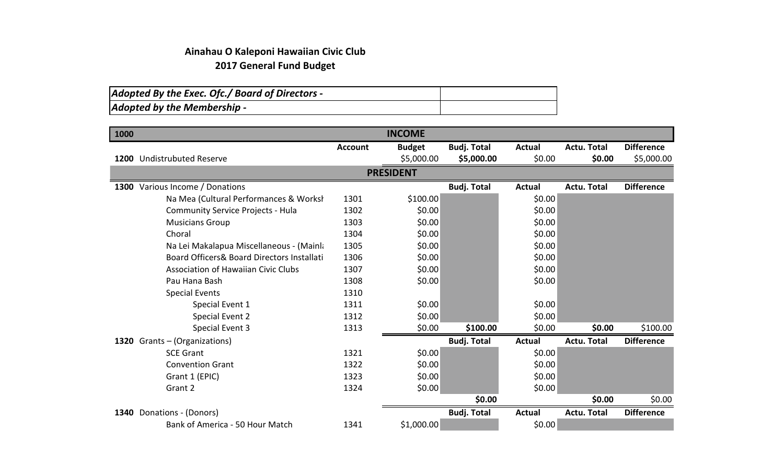## **Ainahau O Kaleponi Hawaiian Civic Club 2017 General Fund Budget**

| Adopted By the Exec. Ofc./ Board of Directors - |  |
|-------------------------------------------------|--|
| Adopted by the Membership -                     |  |

| 1000 |                                            |                | <b>INCOME</b>    |                    |               |                    |                   |
|------|--------------------------------------------|----------------|------------------|--------------------|---------------|--------------------|-------------------|
|      |                                            | <b>Account</b> | <b>Budget</b>    | <b>Budj. Total</b> | <b>Actual</b> | <b>Actu. Total</b> | <b>Difference</b> |
|      | 1200 Undistrubuted Reserve                 |                | \$5,000.00       | \$5,000.00         | \$0.00        | \$0.00             | \$5,000.00        |
|      |                                            |                | <b>PRESIDENT</b> |                    |               |                    |                   |
|      | 1300 Various Income / Donations            |                |                  | <b>Budj. Total</b> | <b>Actual</b> | <b>Actu. Total</b> | <b>Difference</b> |
|      | Na Mea (Cultural Performances & Worksh     | 1301           | \$100.00         |                    | \$0.00        |                    |                   |
|      | <b>Community Service Projects - Hula</b>   | 1302           | \$0.00           |                    | \$0.00        |                    |                   |
|      | <b>Musicians Group</b>                     | 1303           | \$0.00           |                    | \$0.00        |                    |                   |
|      | Choral                                     | 1304           | \$0.00           |                    | \$0.00        |                    |                   |
|      | Na Lei Makalapua Miscellaneous - (Mainla   | 1305           | \$0.00           |                    | \$0.00        |                    |                   |
|      | Board Officers& Board Directors Installati | 1306           | \$0.00           |                    | \$0.00        |                    |                   |
|      | <b>Association of Hawaiian Civic Clubs</b> | 1307           | \$0.00           |                    | \$0.00        |                    |                   |
|      | Pau Hana Bash                              | 1308           | \$0.00           |                    | \$0.00        |                    |                   |
|      | <b>Special Events</b>                      | 1310           |                  |                    |               |                    |                   |
|      | Special Event 1                            | 1311           | \$0.00           |                    | \$0.00        |                    |                   |
|      | Special Event 2                            | 1312           | \$0.00           |                    | \$0.00        |                    |                   |
|      | Special Event 3                            | 1313           | \$0.00           | \$100.00           | \$0.00        | \$0.00             | \$100.00          |
|      | 1320 Grants - (Organizations)              |                |                  | <b>Budj. Total</b> | <b>Actual</b> | <b>Actu. Total</b> | <b>Difference</b> |
|      | <b>SCE Grant</b>                           | 1321           | \$0.00           |                    | \$0.00        |                    |                   |
|      | <b>Convention Grant</b>                    | 1322           | \$0.00           |                    | \$0.00        |                    |                   |
|      | Grant 1 (EPIC)                             | 1323           | \$0.00           |                    | \$0.00        |                    |                   |
|      | Grant 2                                    | 1324           | \$0.00           |                    | \$0.00        |                    |                   |
|      |                                            |                |                  | \$0.00             |               | \$0.00             | \$0.00            |
|      | 1340 Donations - (Donors)                  |                |                  | <b>Budj. Total</b> | <b>Actual</b> | <b>Actu. Total</b> | <b>Difference</b> |
|      | Bank of America - 50 Hour Match            | 1341           | \$1,000.00       |                    | \$0.00        |                    |                   |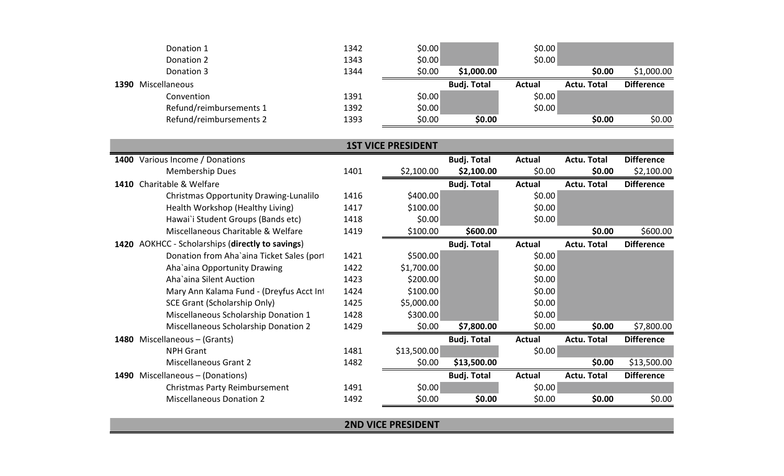|      | Donation 1              | 1342 | \$0.00 |                    | \$0.00        |                    |                   |
|------|-------------------------|------|--------|--------------------|---------------|--------------------|-------------------|
|      | Donation 2              | 1343 | \$0.00 |                    | \$0.00        |                    |                   |
|      | Donation 3              | 1344 | \$0.00 | \$1,000.00         |               | \$0.00             | \$1,000.00        |
| 1390 | Miscellaneous           |      |        | <b>Budj. Total</b> | <b>Actual</b> | <b>Actu. Total</b> | <b>Difference</b> |
|      | Convention              | 1391 | \$0.00 |                    | \$0.00        |                    |                   |
|      | Refund/reimbursements 1 | 1392 | \$0.00 |                    | \$0.00        |                    |                   |
|      | Refund/reimbursements 2 | 1393 | \$0.00 | \$0.00             |               | \$0.00             | \$0.00            |

|      | <b>1ST VICE PRESIDENT</b>                   |      |             |                    |               |                    |                   |  |  |  |
|------|---------------------------------------------|------|-------------|--------------------|---------------|--------------------|-------------------|--|--|--|
| 1400 | Various Income / Donations                  |      |             | <b>Budj. Total</b> | Actual        | Actu. Total        | <b>Difference</b> |  |  |  |
|      | <b>Membership Dues</b>                      | 1401 | \$2,100.00  | \$2,100.00         | \$0.00        | \$0.00             | \$2,100.00        |  |  |  |
|      | 1410 Charitable & Welfare                   |      |             | <b>Budj. Total</b> | Actual        | <b>Actu. Total</b> | <b>Difference</b> |  |  |  |
|      | Christmas Opportunity Drawing-Lunalilo      | 1416 | \$400.00    |                    | \$0.00        |                    |                   |  |  |  |
|      | Health Workshop (Healthy Living)            | 1417 | \$100.00    |                    | \$0.00        |                    |                   |  |  |  |
|      | Hawai`i Student Groups (Bands etc)          | 1418 | \$0.00      |                    | \$0.00        |                    |                   |  |  |  |
|      | Miscellaneous Charitable & Welfare          | 1419 | \$100.00    | \$600.00           |               | \$0.00             | \$600.00          |  |  |  |
| 1420 | AOKHCC - Scholarships (directly to savings) |      |             | <b>Budj. Total</b> | Actual        | <b>Actu. Total</b> | <b>Difference</b> |  |  |  |
|      | Donation from Aha`aina Ticket Sales (port   | 1421 | \$500.00    |                    | \$0.00        |                    |                   |  |  |  |
|      | Aha'aina Opportunity Drawing                | 1422 | \$1,700.00  |                    | \$0.00        |                    |                   |  |  |  |
|      | Aha'aina Silent Auction                     | 1423 | \$200.00    |                    | \$0.00        |                    |                   |  |  |  |
|      | Mary Ann Kalama Fund - (Dreyfus Acct Int    | 1424 | \$100.00    |                    | \$0.00        |                    |                   |  |  |  |
|      | SCE Grant (Scholarship Only)                | 1425 | \$5,000.00  |                    | \$0.00        |                    |                   |  |  |  |
|      | Miscellaneous Scholarship Donation 1        | 1428 | \$300.00    |                    | \$0.00        |                    |                   |  |  |  |
|      | Miscellaneous Scholarship Donation 2        | 1429 | \$0.00      | \$7,800.00         | \$0.00        | \$0.00             | \$7,800.00        |  |  |  |
| 1480 | Miscellaneous – (Grants)                    |      |             | <b>Budj. Total</b> | <b>Actual</b> | <b>Actu. Total</b> | <b>Difference</b> |  |  |  |
|      | <b>NPH Grant</b>                            | 1481 | \$13,500.00 |                    | \$0.00        |                    |                   |  |  |  |
|      | <b>Miscellaneous Grant 2</b>                | 1482 | \$0.00      | \$13,500.00        |               | \$0.00             | \$13,500.00       |  |  |  |
| 1490 | Miscellaneous - (Donations)                 |      |             | <b>Budj. Total</b> | <b>Actual</b> | <b>Actu. Total</b> | <b>Difference</b> |  |  |  |
|      | <b>Christmas Party Reimbursement</b>        | 1491 | \$0.00      |                    | \$0.00        |                    |                   |  |  |  |
|      | <b>Miscellaneous Donation 2</b>             | 1492 | \$0.00      | \$0.00             | \$0.00        | \$0.00             | \$0.00            |  |  |  |

**2ND VICE PRESIDENT**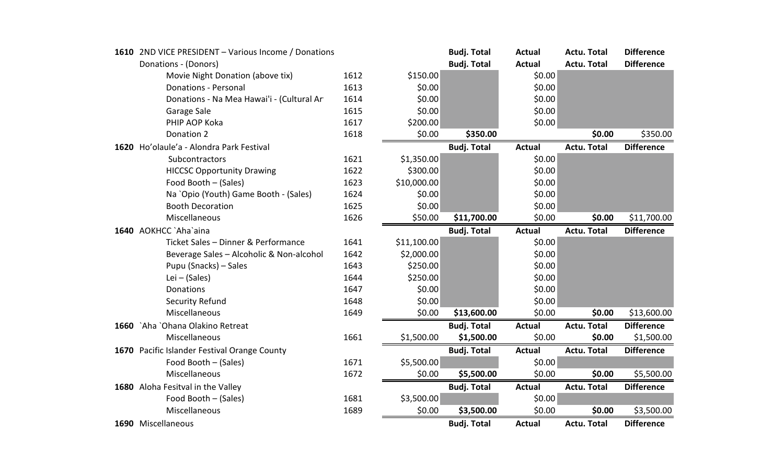|      | 1610 2ND VICE PRESIDENT - Various Income / Donations |      |             | <b>Budj. Total</b> | <b>Actual</b> | <b>Actu. Total</b> | <b>Difference</b> |
|------|------------------------------------------------------|------|-------------|--------------------|---------------|--------------------|-------------------|
|      | Donations - (Donors)                                 |      |             | <b>Budj. Total</b> | <b>Actual</b> | <b>Actu. Total</b> | <b>Difference</b> |
|      | Movie Night Donation (above tix)                     | 1612 | \$150.00    |                    | \$0.00        |                    |                   |
|      | <b>Donations - Personal</b>                          | 1613 | \$0.00      |                    | \$0.00        |                    |                   |
|      | Donations - Na Mea Hawai'i - (Cultural Ar            | 1614 | \$0.00      |                    | \$0.00        |                    |                   |
|      | Garage Sale                                          | 1615 | \$0.00      |                    | \$0.00        |                    |                   |
|      | PHIP AOP Koka                                        | 1617 | \$200.00    |                    | \$0.00        |                    |                   |
|      | Donation 2                                           | 1618 | \$0.00      | \$350.00           |               | \$0.00             | \$350.00          |
|      | 1620 Ho'olaule'a - Alondra Park Festival             |      |             | <b>Budj. Total</b> | <b>Actual</b> | <b>Actu. Total</b> | <b>Difference</b> |
|      | Subcontractors                                       | 1621 | \$1,350.00  |                    | \$0.00        |                    |                   |
|      | <b>HICCSC Opportunity Drawing</b>                    | 1622 | \$300.00    |                    | \$0.00        |                    |                   |
|      | Food Booth - (Sales)                                 | 1623 | \$10,000.00 |                    | \$0.00        |                    |                   |
|      | Na `Opio (Youth) Game Booth - (Sales)                | 1624 | \$0.00      |                    | \$0.00        |                    |                   |
|      | <b>Booth Decoration</b>                              | 1625 | \$0.00      |                    | \$0.00        |                    |                   |
|      | Miscellaneous                                        | 1626 | \$50.00     | \$11,700.00        | \$0.00        | \$0.00             | \$11,700.00       |
|      | 1640 AOKHCC `Aha`aina                                |      |             | <b>Budj. Total</b> | <b>Actual</b> | <b>Actu. Total</b> | <b>Difference</b> |
|      | Ticket Sales - Dinner & Performance                  | 1641 | \$11,100.00 |                    | \$0.00        |                    |                   |
|      | Beverage Sales - Alcoholic & Non-alcohol             | 1642 | \$2,000.00  |                    | \$0.00        |                    |                   |
|      | Pupu (Snacks) - Sales                                | 1643 | \$250.00    |                    | \$0.00        |                    |                   |
|      | Lei $-$ (Sales)                                      | 1644 | \$250.00    |                    | \$0.00        |                    |                   |
|      | Donations                                            | 1647 | \$0.00      |                    | \$0.00        |                    |                   |
|      | <b>Security Refund</b>                               | 1648 | \$0.00      |                    | \$0.00        |                    |                   |
|      | Miscellaneous                                        | 1649 | \$0.00      | \$13,600.00        | \$0.00        | \$0.00             | \$13,600.00       |
| 1660 | `Aha `Ohana Olakino Retreat                          |      |             | <b>Budj. Total</b> | <b>Actual</b> | <b>Actu. Total</b> | <b>Difference</b> |
|      | Miscellaneous                                        | 1661 | \$1,500.00  | \$1,500.00         | \$0.00        | \$0.00             | \$1,500.00        |
|      | 1670 Pacific Islander Festival Orange County         |      |             | <b>Budj. Total</b> | <b>Actual</b> | <b>Actu. Total</b> | <b>Difference</b> |
|      | Food Booth - (Sales)                                 | 1671 | \$5,500.00  |                    | \$0.00        |                    |                   |
|      | Miscellaneous                                        | 1672 | \$0.00      | \$5,500.00         | \$0.00        | \$0.00             | \$5,500.00        |
|      | 1680 Aloha Fesitval in the Valley                    |      |             | <b>Budj. Total</b> | <b>Actual</b> | <b>Actu. Total</b> | <b>Difference</b> |
|      | Food Booth - (Sales)                                 | 1681 | \$3,500.00  |                    | \$0.00        |                    |                   |
|      | Miscellaneous                                        | 1689 | \$0.00      | \$3,500.00         | \$0.00        | \$0.00             | \$3,500.00        |
|      | 1690 Miscellaneous                                   |      |             | <b>Budj. Total</b> | <b>Actual</b> | <b>Actu. Total</b> | <b>Difference</b> |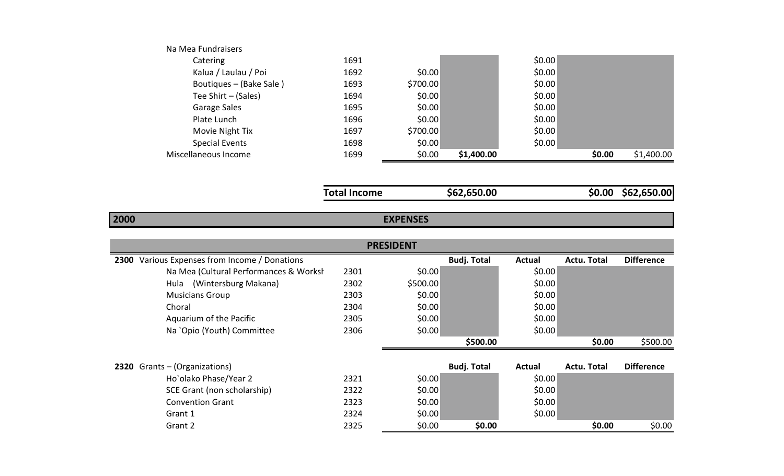| Miscellaneous Income    | 1699 | \$0.00   | \$1,400.00 |        | \$0.00 | \$1,400.00 |
|-------------------------|------|----------|------------|--------|--------|------------|
| <b>Special Events</b>   | 1698 | \$0.00   |            | \$0.00 |        |            |
| Movie Night Tix         | 1697 | \$700.00 |            | \$0.00 |        |            |
| Plate Lunch             | 1696 | \$0.00   |            | \$0.00 |        |            |
| Garage Sales            | 1695 | \$0.00   |            | \$0.00 |        |            |
| Tee Shirt - (Sales)     | 1694 | \$0.00   |            | \$0.00 |        |            |
| Boutiques – (Bake Sale) | 1693 | \$700.00 |            | \$0.00 |        |            |
| Kalua / Laulau / Poi    | 1692 | \$0.00   |            | \$0.00 |        |            |
| Catering                | 1691 |          |            | \$0.00 |        |            |
| Na Mea Fundraisers      |      |          |            |        |        |            |

| <b>Total Income</b> |
|---------------------|
|                     |

**Total Income \$62,650.00 \$0.00 \$62,650.00**

## **2000**

## **EXPENSES**

|                                               |      | <b>PRESIDENT</b> |                    |               |                    |                   |
|-----------------------------------------------|------|------------------|--------------------|---------------|--------------------|-------------------|
| 2300 Various Expenses from Income / Donations |      |                  | <b>Budj. Total</b> | <b>Actual</b> | <b>Actu. Total</b> | <b>Difference</b> |
| Na Mea (Cultural Performances & Worksh        | 2301 | \$0.00           |                    | \$0.00        |                    |                   |
| (Wintersburg Makana)<br>Hula                  | 2302 | \$500.00         |                    | \$0.00        |                    |                   |
| <b>Musicians Group</b>                        | 2303 | \$0.00           |                    | \$0.00        |                    |                   |
| Choral                                        | 2304 | \$0.00           |                    | \$0.00        |                    |                   |
| Aquarium of the Pacific                       | 2305 | \$0.00           |                    | \$0.00        |                    |                   |
| Na `Opio (Youth) Committee                    | 2306 | \$0.00           |                    | \$0.00        |                    |                   |
|                                               |      |                  | \$500.00           |               | \$0.00             | \$500.00          |
| 2320 Grants - (Organizations)                 |      |                  | <b>Budj. Total</b> | Actual        | Actu. Total        | <b>Difference</b> |
| Ho`olako Phase/Year 2                         | 2321 | \$0.00           |                    | \$0.00        |                    |                   |
| SCE Grant (non scholarship)                   | 2322 | \$0.00           |                    | \$0.00        |                    |                   |
| <b>Convention Grant</b>                       | 2323 | \$0.00           |                    | \$0.00        |                    |                   |
| Grant 1                                       | 2324 | \$0.00           |                    | \$0.00        |                    |                   |
| Grant 2                                       | 2325 | \$0.00           | \$0.00             |               | \$0.00             | \$0.00            |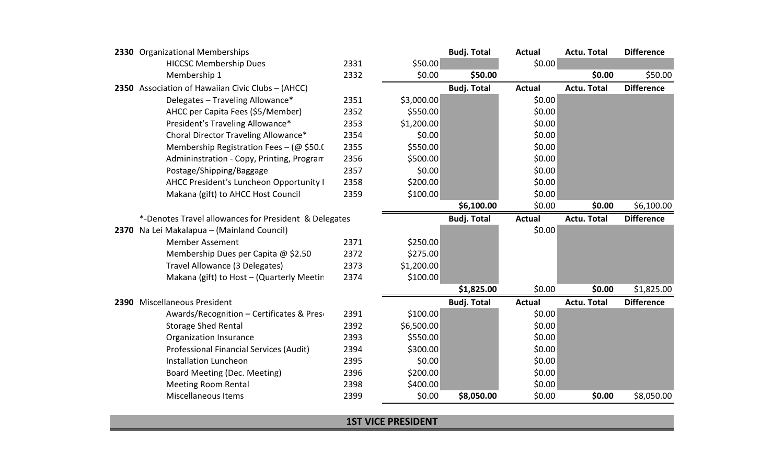| 2330 Organizational Memberships                       |      |            | <b>Budj. Total</b> | <b>Actual</b> | <b>Actu. Total</b> | <b>Difference</b> |
|-------------------------------------------------------|------|------------|--------------------|---------------|--------------------|-------------------|
| <b>HICCSC Membership Dues</b>                         | 2331 | \$50.00    |                    | \$0.00        |                    |                   |
| Membership 1                                          | 2332 | \$0.00     | \$50.00            |               | \$0.00             | \$50.00           |
| 2350 Association of Hawaiian Civic Clubs - (AHCC)     |      |            | <b>Budj. Total</b> | <b>Actual</b> | <b>Actu. Total</b> | <b>Difference</b> |
| Delegates - Traveling Allowance*                      | 2351 | \$3,000.00 |                    | \$0.00        |                    |                   |
| AHCC per Capita Fees (\$5/Member)                     | 2352 | \$550.00   |                    | \$0.00        |                    |                   |
| President's Traveling Allowance*                      | 2353 | \$1,200.00 |                    | \$0.00        |                    |                   |
| Choral Director Traveling Allowance*                  | 2354 | \$0.00     |                    | \$0.00        |                    |                   |
| Membership Registration Fees - ( $@$ \$50.(           | 2355 | \$550.00   |                    | \$0.00        |                    |                   |
| Admininstration - Copy, Printing, Program             | 2356 | \$500.00   |                    | \$0.00        |                    |                   |
| Postage/Shipping/Baggage                              | 2357 | \$0.00     |                    | \$0.00        |                    |                   |
| AHCC President's Luncheon Opportunity I               | 2358 | \$200.00   |                    | \$0.00        |                    |                   |
| Makana (gift) to AHCC Host Council                    | 2359 | \$100.00   |                    | \$0.00        |                    |                   |
|                                                       |      |            | \$6,100.00         | \$0.00        | \$0.00             | \$6,100.00        |
| *-Denotes Travel allowances for President & Delegates |      |            | <b>Budj. Total</b> | <b>Actual</b> | <b>Actu. Total</b> | <b>Difference</b> |
| 2370 Na Lei Makalapua - (Mainland Council)            |      |            |                    | \$0.00        |                    |                   |
| <b>Member Assement</b>                                | 2371 | \$250.00   |                    |               |                    |                   |
| Membership Dues per Capita @ \$2.50                   | 2372 | \$275.00   |                    |               |                    |                   |
| Travel Allowance (3 Delegates)                        | 2373 | \$1,200.00 |                    |               |                    |                   |
| Makana (gift) to Host - (Quarterly Meetin             | 2374 | \$100.00   |                    |               |                    |                   |
|                                                       |      |            | \$1,825.00         | \$0.00        | \$0.00             | \$1,825.00        |
| 2390 Miscellaneous President                          |      |            | <b>Budj. Total</b> | <b>Actual</b> | <b>Actu. Total</b> | <b>Difference</b> |
| Awards/Recognition - Certificates & Pres              | 2391 | \$100.00   |                    | \$0.00        |                    |                   |
| <b>Storage Shed Rental</b>                            | 2392 | \$6,500.00 |                    | \$0.00        |                    |                   |
| Organization Insurance                                | 2393 | \$550.00   |                    | \$0.00        |                    |                   |
| Professional Financial Services (Audit)               | 2394 | \$300.00   |                    | \$0.00        |                    |                   |
| <b>Installation Luncheon</b>                          | 2395 | \$0.00     |                    | \$0.00        |                    |                   |
| Board Meeting (Dec. Meeting)                          | 2396 | \$200.00   |                    | \$0.00        |                    |                   |
| <b>Meeting Room Rental</b>                            | 2398 | \$400.00   |                    | \$0.00        |                    |                   |
| <b>Miscellaneous Items</b>                            | 2399 | \$0.00     | \$8,050.00         | \$0.00        | \$0.00             | \$8,050.00        |

**1ST VICE PRESIDENT**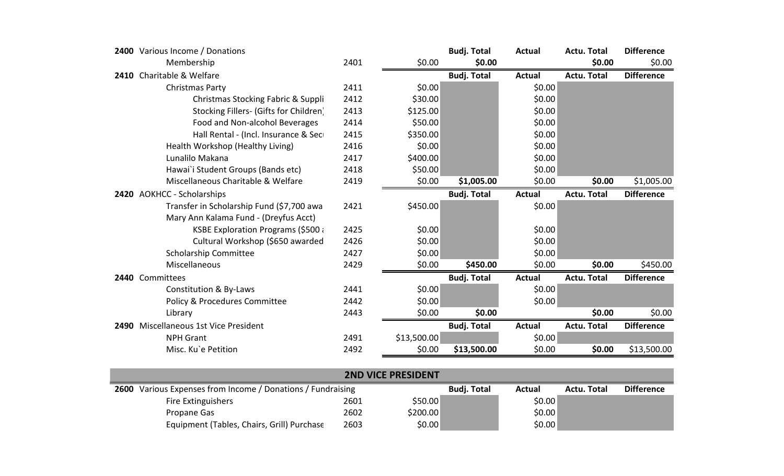| 2400 Various Income / Donations           |      |             | <b>Budj. Total</b> | <b>Actual</b> | Actu. Total        | <b>Difference</b> |
|-------------------------------------------|------|-------------|--------------------|---------------|--------------------|-------------------|
| Membership                                | 2401 | \$0.00      | \$0.00             |               | \$0.00             | \$0.00            |
| 2410 Charitable & Welfare                 |      |             | <b>Budj. Total</b> | <b>Actual</b> | <b>Actu. Total</b> | <b>Difference</b> |
| Christmas Party                           | 2411 | \$0.00      |                    | \$0.00        |                    |                   |
| Christmas Stocking Fabric & Suppli        | 2412 | \$30.00     |                    | \$0.00        |                    |                   |
| Stocking Fillers- (Gifts for Children)    | 2413 | \$125.00    |                    | \$0.00        |                    |                   |
| Food and Non-alcohol Beverages            | 2414 | \$50.00     |                    | \$0.00        |                    |                   |
| Hall Rental - (Incl. Insurance & Sec      | 2415 | \$350.00    |                    | \$0.00        |                    |                   |
| Health Workshop (Healthy Living)          | 2416 | \$0.00      |                    | \$0.00        |                    |                   |
| Lunalilo Makana                           | 2417 | \$400.00    |                    | \$0.00        |                    |                   |
| Hawai`i Student Groups (Bands etc)        | 2418 | \$50.00     |                    | \$0.00        |                    |                   |
| Miscellaneous Charitable & Welfare        | 2419 | \$0.00      | \$1,005.00         | \$0.00        | \$0.00             | \$1,005.00        |
| 2420 AOKHCC - Scholarships                |      |             | <b>Budj. Total</b> | <b>Actual</b> | <b>Actu. Total</b> | <b>Difference</b> |
| Transfer in Scholarship Fund (\$7,700 awa | 2421 | \$450.00    |                    | \$0.00        |                    |                   |
| Mary Ann Kalama Fund - (Dreyfus Acct)     |      |             |                    |               |                    |                   |
| KSBE Exploration Programs (\$500 a        | 2425 | \$0.00      |                    | \$0.00        |                    |                   |
| Cultural Workshop (\$650 awarded          | 2426 | \$0.00      |                    | \$0.00        |                    |                   |
| Scholarship Committee                     | 2427 | \$0.00      |                    | \$0.00        |                    |                   |
| Miscellaneous                             | 2429 | \$0.00      | \$450.00           | \$0.00        | \$0.00             | \$450.00          |
| 2440 Committees                           |      |             | <b>Budj. Total</b> | <b>Actual</b> | <b>Actu. Total</b> | <b>Difference</b> |
| Constitution & By-Laws                    | 2441 | \$0.00      |                    | \$0.00        |                    |                   |
| Policy & Procedures Committee             | 2442 | \$0.00      |                    | \$0.00        |                    |                   |
| Library                                   | 2443 | \$0.00      | \$0.00             |               | \$0.00             | \$0.00            |
| 2490 Miscellaneous 1st Vice President     |      |             | <b>Budj. Total</b> | <b>Actual</b> | <b>Actu. Total</b> | <b>Difference</b> |
| <b>NPH Grant</b>                          | 2491 | \$13,500.00 |                    | \$0.00        |                    |                   |
| Misc. Ku`e Petition                       | 2492 | \$0.00      | \$13,500.00        | \$0.00        | \$0.00             | \$13,500.00       |

| <b>2ND VICE PRESIDENT</b>                                          |      |          |                    |               |             |                   |  |  |  |
|--------------------------------------------------------------------|------|----------|--------------------|---------------|-------------|-------------------|--|--|--|
| <b>2600</b> Various Expenses from Income / Donations / Fundraising |      |          | <b>Budj. Total</b> | <b>Actual</b> | Actu. Total | <b>Difference</b> |  |  |  |
| <b>Fire Extinguishers</b>                                          | 2601 | \$50.00  |                    | \$0.00        |             |                   |  |  |  |
| Propane Gas                                                        | 2602 | \$200.00 |                    | \$0.00        |             |                   |  |  |  |
| Equipment (Tables, Chairs, Grill) Purchase                         | 2603 | \$0.00   |                    | \$0.00        |             |                   |  |  |  |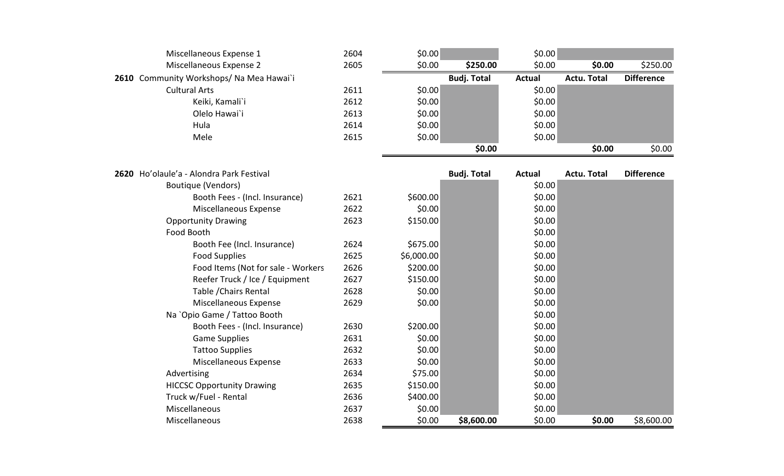| Miscellaneous Expense 1                  | 2604 | \$0.00     |                    | \$0.00        |                    |                   |
|------------------------------------------|------|------------|--------------------|---------------|--------------------|-------------------|
| Miscellaneous Expense 2                  | 2605 | \$0.00     | \$250.00           | \$0.00        | \$0.00             | \$250.00          |
| 2610 Community Workshops/ Na Mea Hawai`i |      |            | <b>Budj. Total</b> | <b>Actual</b> | <b>Actu. Total</b> | <b>Difference</b> |
| <b>Cultural Arts</b>                     | 2611 | \$0.00     |                    | \$0.00        |                    |                   |
| Keiki, Kamali`i                          | 2612 | \$0.00     |                    | \$0.00        |                    |                   |
| Olelo Hawai`i                            | 2613 | \$0.00     |                    | \$0.00        |                    |                   |
| Hula                                     | 2614 | \$0.00     |                    | \$0.00        |                    |                   |
| Mele                                     | 2615 | \$0.00     |                    | \$0.00        |                    |                   |
|                                          |      |            | \$0.00             |               | \$0.00             | \$0.00            |
| 2620 Ho'olaule'a - Alondra Park Festival |      |            | <b>Budj. Total</b> | <b>Actual</b> | <b>Actu. Total</b> | <b>Difference</b> |
| <b>Boutique (Vendors)</b>                |      |            |                    | \$0.00        |                    |                   |
| Booth Fees - (Incl. Insurance)           | 2621 | \$600.00   |                    | \$0.00        |                    |                   |
| Miscellaneous Expense                    | 2622 | \$0.00     |                    | \$0.00        |                    |                   |
| <b>Opportunity Drawing</b>               | 2623 | \$150.00   |                    | \$0.00        |                    |                   |
| Food Booth                               |      |            |                    | \$0.00        |                    |                   |
| Booth Fee (Incl. Insurance)              | 2624 | \$675.00   |                    | \$0.00        |                    |                   |
| <b>Food Supplies</b>                     | 2625 | \$6,000.00 |                    | \$0.00        |                    |                   |
| Food Items (Not for sale - Workers       | 2626 | \$200.00   |                    | \$0.00        |                    |                   |
| Reefer Truck / Ice / Equipment           | 2627 | \$150.00   |                    | \$0.00        |                    |                   |
| Table / Chairs Rental                    | 2628 | \$0.00     |                    | \$0.00        |                    |                   |
| Miscellaneous Expense                    | 2629 | \$0.00     |                    | \$0.00        |                    |                   |
| Na `Opio Game / Tattoo Booth             |      |            |                    | \$0.00        |                    |                   |
| Booth Fees - (Incl. Insurance)           | 2630 | \$200.00   |                    | \$0.00        |                    |                   |
| <b>Game Supplies</b>                     | 2631 | \$0.00     |                    | \$0.00        |                    |                   |
| <b>Tattoo Supplies</b>                   | 2632 | \$0.00     |                    | \$0.00        |                    |                   |
| Miscellaneous Expense                    | 2633 | \$0.00     |                    | \$0.00        |                    |                   |
| Advertising                              | 2634 | \$75.00    |                    | \$0.00        |                    |                   |
| <b>HICCSC Opportunity Drawing</b>        | 2635 | \$150.00   |                    | \$0.00        |                    |                   |
| Truck w/Fuel - Rental                    | 2636 | \$400.00   |                    | \$0.00        |                    |                   |
| Miscellaneous                            | 2637 | \$0.00     |                    | \$0.00        |                    |                   |
| Miscellaneous                            | 2638 | \$0.00     | \$8,600.00         | \$0.00        | \$0.00             | \$8,600.00        |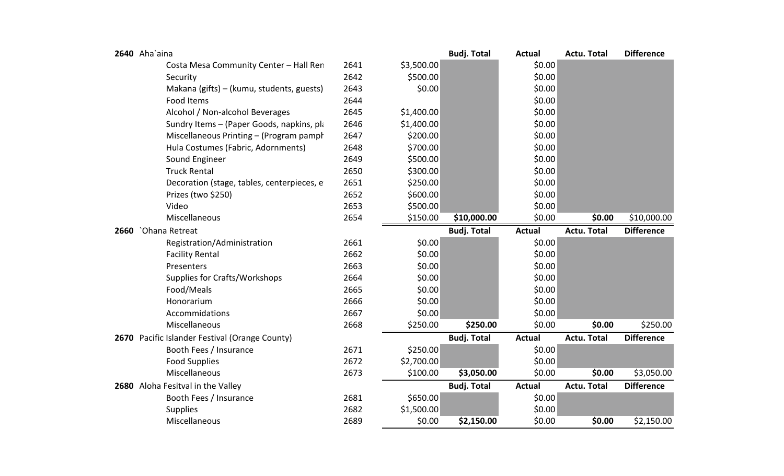| 2640 Aha`aina                                  |      |            | <b>Budj. Total</b> | <b>Actual</b> | <b>Actu. Total</b> | <b>Difference</b> |
|------------------------------------------------|------|------------|--------------------|---------------|--------------------|-------------------|
| Costa Mesa Community Center - Hall Ren         | 2641 | \$3,500.00 |                    | \$0.00        |                    |                   |
| Security                                       | 2642 | \$500.00   |                    | \$0.00        |                    |                   |
| Makana (gifts) – (kumu, students, guests)      | 2643 | \$0.00     |                    | \$0.00        |                    |                   |
| <b>Food Items</b>                              | 2644 |            |                    | \$0.00        |                    |                   |
| Alcohol / Non-alcohol Beverages                | 2645 | \$1,400.00 |                    | \$0.00        |                    |                   |
| Sundry Items - (Paper Goods, napkins, pla      | 2646 | \$1,400.00 |                    | \$0.00        |                    |                   |
| Miscellaneous Printing - (Program pamph        | 2647 | \$200.00   |                    | \$0.00        |                    |                   |
| Hula Costumes (Fabric, Adornments)             | 2648 | \$700.00   |                    | \$0.00        |                    |                   |
| Sound Engineer                                 | 2649 | \$500.00   |                    | \$0.00        |                    |                   |
| <b>Truck Rental</b>                            | 2650 | \$300.00   |                    | \$0.00        |                    |                   |
| Decoration (stage, tables, centerpieces, e     | 2651 | \$250.00   |                    | \$0.00        |                    |                   |
| Prizes (two \$250)                             | 2652 | \$600.00   |                    | \$0.00        |                    |                   |
| Video                                          | 2653 | \$500.00   |                    | \$0.00        |                    |                   |
| Miscellaneous                                  | 2654 | \$150.00   | \$10,000.00        | \$0.00        | \$0.00             | \$10,000.00       |
| 2660 `Ohana Retreat                            |      |            | <b>Budj. Total</b> | <b>Actual</b> | <b>Actu. Total</b> | <b>Difference</b> |
| Registration/Administration                    | 2661 | \$0.00     |                    | \$0.00        |                    |                   |
| <b>Facility Rental</b>                         | 2662 | \$0.00     |                    | \$0.00        |                    |                   |
| Presenters                                     | 2663 | \$0.00     |                    | \$0.00        |                    |                   |
| Supplies for Crafts/Workshops                  | 2664 | \$0.00     |                    | \$0.00        |                    |                   |
| Food/Meals                                     | 2665 | \$0.00     |                    | \$0.00        |                    |                   |
| Honorarium                                     | 2666 | \$0.00     |                    | \$0.00        |                    |                   |
| Accommidations                                 | 2667 | \$0.00     |                    | \$0.00        |                    |                   |
| Miscellaneous                                  | 2668 | \$250.00   | \$250.00           | \$0.00        | \$0.00             | \$250.00          |
| 2670 Pacific Islander Festival (Orange County) |      |            | <b>Budj. Total</b> | <b>Actual</b> | <b>Actu. Total</b> | <b>Difference</b> |
| Booth Fees / Insurance                         | 2671 | \$250.00   |                    | \$0.00        |                    |                   |
| <b>Food Supplies</b>                           | 2672 | \$2,700.00 |                    | \$0.00        |                    |                   |
| Miscellaneous                                  | 2673 | \$100.00   | \$3,050.00         | \$0.00        | \$0.00             | \$3,050.00        |
| 2680 Aloha Fesitval in the Valley              |      |            | <b>Budj. Total</b> | <b>Actual</b> | <b>Actu. Total</b> | <b>Difference</b> |
| Booth Fees / Insurance                         | 2681 | \$650.00   |                    | \$0.00        |                    |                   |
| <b>Supplies</b>                                | 2682 | \$1,500.00 |                    | \$0.00        |                    |                   |
| Miscellaneous                                  | 2689 | \$0.00     | \$2,150.00         | \$0.00        | \$0.00             | \$2,150.00        |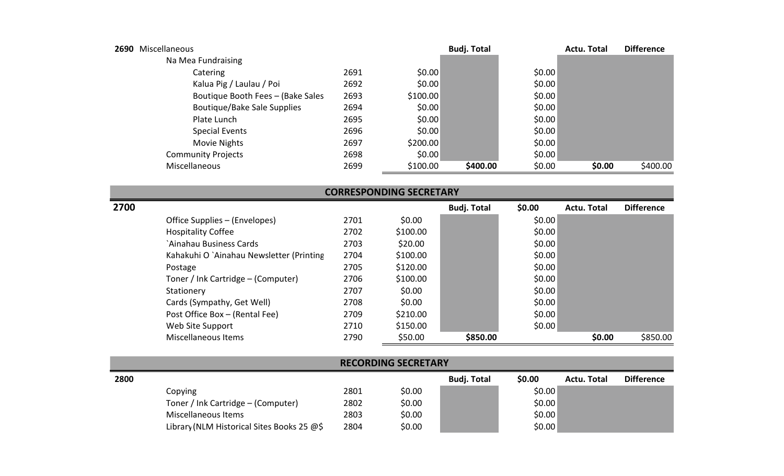| 2690 | Miscellaneous                     |      |          | <b>Budj. Total</b> |        | <b>Actu. Total</b> | <b>Difference</b> |
|------|-----------------------------------|------|----------|--------------------|--------|--------------------|-------------------|
|      | Na Mea Fundraising                |      |          |                    |        |                    |                   |
|      | Catering                          | 2691 | \$0.00   |                    | \$0.00 |                    |                   |
|      | Kalua Pig / Laulau / Poi          | 2692 | \$0.00   |                    | \$0.00 |                    |                   |
|      | Boutique Booth Fees - (Bake Sales | 2693 | \$100.00 |                    | \$0.00 |                    |                   |
|      | Boutique/Bake Sale Supplies       | 2694 | \$0.00   |                    | \$0.00 |                    |                   |
|      | Plate Lunch                       | 2695 | \$0.00   |                    | \$0.00 |                    |                   |
|      | <b>Special Events</b>             | 2696 | \$0.00   |                    | \$0.00 |                    |                   |
|      | Movie Nights                      | 2697 | \$200.00 |                    | \$0.00 |                    |                   |
|      | <b>Community Projects</b>         | 2698 | \$0.00   |                    | \$0.00 |                    |                   |
|      | Miscellaneous                     | 2699 | \$100.00 | \$400.00           | \$0.00 | \$0.00             | \$400.00          |

| <b>CORRESPONDING SECRETARY</b> |                                          |      |          |                    |        |             |                   |  |
|--------------------------------|------------------------------------------|------|----------|--------------------|--------|-------------|-------------------|--|
| 2700                           |                                          |      |          | <b>Budj. Total</b> | \$0.00 | Actu. Total | <b>Difference</b> |  |
|                                | Office Supplies – (Envelopes)            | 2701 | \$0.00   |                    | \$0.00 |             |                   |  |
|                                | <b>Hospitality Coffee</b>                | 2702 | \$100.00 |                    | \$0.00 |             |                   |  |
|                                | `Ainahau Business Cards                  | 2703 | \$20.00  |                    | \$0.00 |             |                   |  |
|                                | Kahakuhi O `Ainahau Newsletter (Printing | 2704 | \$100.00 |                    | \$0.00 |             |                   |  |
|                                | Postage                                  | 2705 | \$120.00 |                    | \$0.00 |             |                   |  |
|                                | Toner / Ink Cartridge - (Computer)       | 2706 | \$100.00 |                    | \$0.00 |             |                   |  |
|                                | Stationery                               | 2707 | \$0.00   |                    | \$0.00 |             |                   |  |
|                                | Cards (Sympathy, Get Well)               | 2708 | \$0.00   |                    | \$0.00 |             |                   |  |
|                                | Post Office Box - (Rental Fee)           | 2709 | \$210.00 |                    | \$0.00 |             |                   |  |
|                                | Web Site Support                         | 2710 | \$150.00 |                    | \$0.00 |             |                   |  |
|                                | Miscellaneous Items                      | 2790 | \$50.00  | \$850.00           |        | \$0.00      | \$850.00          |  |

| <b>RECORDING SECRETARY</b> |                                                                         |      |        |  |        |  |  |  |  |
|----------------------------|-------------------------------------------------------------------------|------|--------|--|--------|--|--|--|--|
| 2800                       | <b>Budj. Total</b><br><b>Difference</b><br>\$0.00<br><b>Actu. Total</b> |      |        |  |        |  |  |  |  |
|                            | Copying                                                                 | 2801 | \$0.00 |  | \$0.00 |  |  |  |  |
|                            | Toner / Ink Cartridge – (Computer)                                      | 2802 | \$0.00 |  | \$0.00 |  |  |  |  |
|                            | Miscellaneous Items                                                     | 2803 | \$0.00 |  | \$0.00 |  |  |  |  |
|                            | Library (NLM Historical Sites Books 25 @\$                              | 2804 | \$0.00 |  | \$0.00 |  |  |  |  |